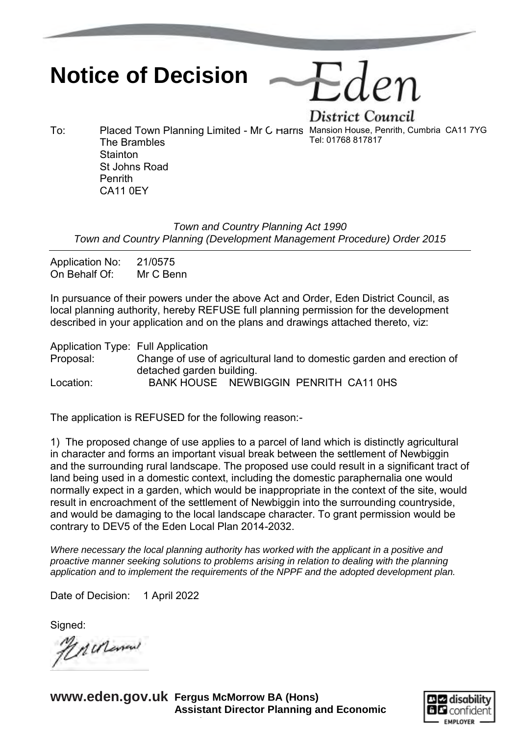## **Notice of Decision**

District Council To: Placed Town Planning Limited - Mr C Harris Mansion House, Penrith, Cumbria CA11 7YG Tel: 01768 817817

The Brambles **Stainton** St Johns Road Penrith

*Town and Country Planning Act 1990 Town and Country Planning (Development Management Procedure) Order 2015*

Application No: 21/0575 On Behalf Of: Mr C Benn

CA11 0EY

In pursuance of their powers under the above Act and Order, Eden District Council, as local planning authority, hereby REFUSE full planning permission for the development described in your application and on the plans and drawings attached thereto, viz:

Application Type: Full Application Proposal: Change of use of agricultural land to domestic garden and erection of detached garden building. Location: BANK HOUSE NEWBIGGIN PENRITH CA11 0HS

The application is REFUSED for the following reason:-

1) The proposed change of use applies to a parcel of land which is distinctly agricultural in character and forms an important visual break between the settlement of Newbiggin and the surrounding rural landscape. The proposed use could result in a significant tract of land being used in a domestic context, including the domestic paraphernalia one would normally expect in a garden, which would be inappropriate in the context of the site, would result in encroachment of the settlement of Newbiggin into the surrounding countryside, and would be damaging to the local landscape character. To grant permission would be contrary to DEV5 of the Eden Local Plan 2014-2032.

*Where necessary the local planning authority has worked with the applicant in a positive and proactive manner seeking solutions to problems arising in relation to dealing with the planning application and to implement the requirements of the NPPF and the adopted development plan.*

Date of Decision: 1 April 2022

Signed:

Machena

**www.eden.gov.uk Fergus McMorrow BA (Hons) Assistant Director Planning and Economic** 

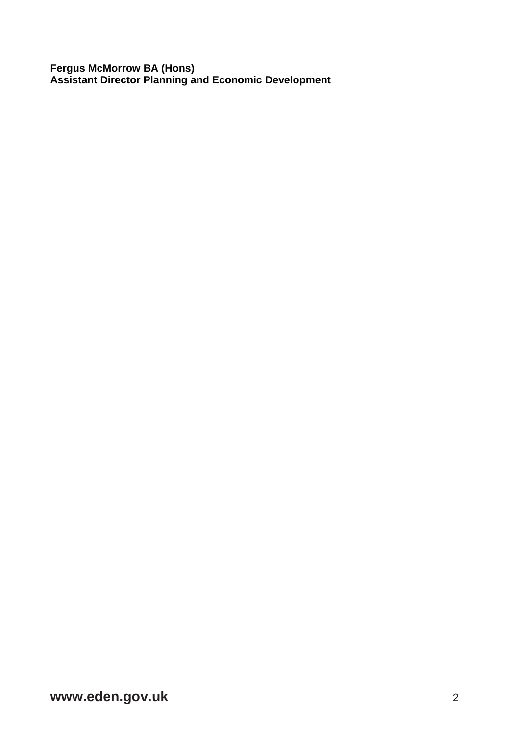**Fergus McMorrow BA (Hons) Assistant Director Planning and Economic Development**

**www.eden.gov.uk** 2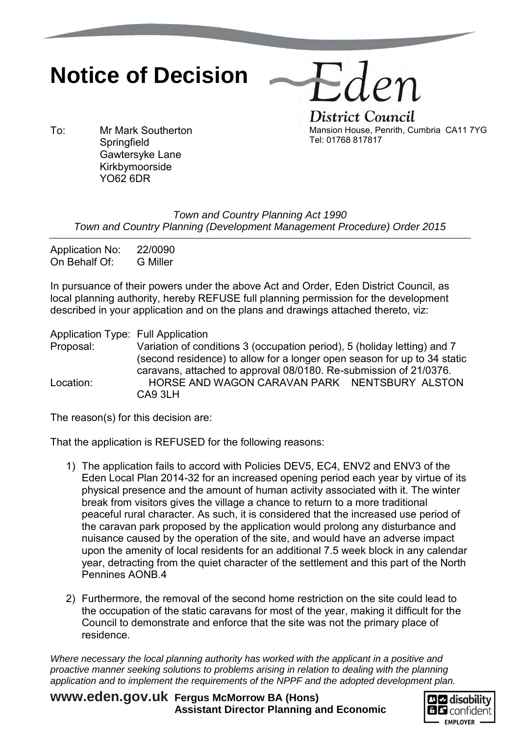## **Notice of Decision**

District Council Mansion House, Penrith, Cumbria CA11 7YG Tel: 01768 817817

den

To: Mr Mark Southerton **Springfield** Gawtersyke Lane Kirkbymoorside YO62 6DR

> *Town and Country Planning Act 1990 Town and Country Planning (Development Management Procedure) Order 2015*

Application No: 22/0090 On Behalf Of: G Miller

In pursuance of their powers under the above Act and Order, Eden District Council, as local planning authority, hereby REFUSE full planning permission for the development described in your application and on the plans and drawings attached thereto, viz:

Application Type: Full Application Proposal: Variation of conditions 3 (occupation period), 5 (holiday letting) and 7 (second residence) to allow for a longer open season for up to 34 static caravans, attached to approval 08/0180. Re-submission of 21/0376. Location: HORSE AND WAGON CARAVAN PARK NENTSBURY ALSTON CA9 3LH

The reason(s) for this decision are:

That the application is REFUSED for the following reasons:

- 1) The application fails to accord with Policies DEV5, EC4, ENV2 and ENV3 of the Eden Local Plan 2014-32 for an increased opening period each year by virtue of its physical presence and the amount of human activity associated with it. The winter break from visitors gives the village a chance to return to a more traditional peaceful rural character. As such, it is considered that the increased use period of the caravan park proposed by the application would prolong any disturbance and nuisance caused by the operation of the site, and would have an adverse impact upon the amenity of local residents for an additional 7.5 week block in any calendar year, detracting from the quiet character of the settlement and this part of the North Pennines AONB.4
- 2) Furthermore, the removal of the second home restriction on the site could lead to the occupation of the static caravans for most of the year, making it difficult for the Council to demonstrate and enforce that the site was not the primary place of residence.

*Where necessary the local planning authority has worked with the applicant in a positive and proactive manner seeking solutions to problems arising in relation to dealing with the planning application and to implement the requirements of the NPPF and the adopted development plan.*

**www.eden.gov.uk Fergus McMorrow BA (Hons) Assistant Director Planning and Economic** 

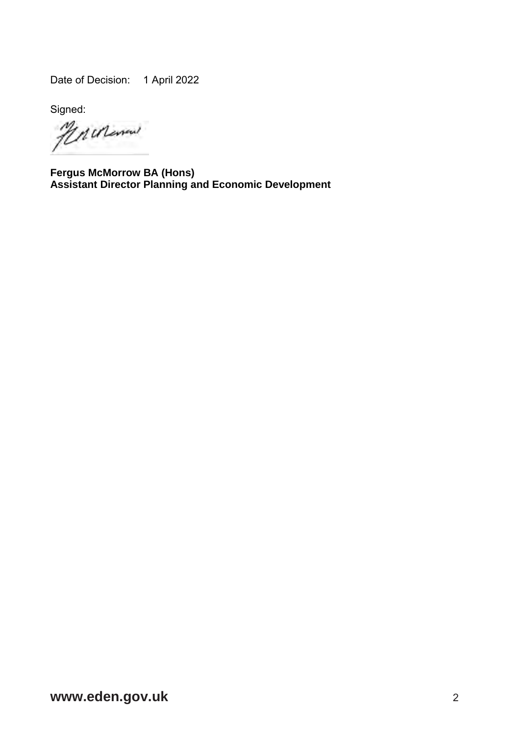Date of Decision: 1 April 2022

Signed<br>*MAULE*new

**Fergus McMorrow BA (Hons) Assistant Director Planning and Economic Development**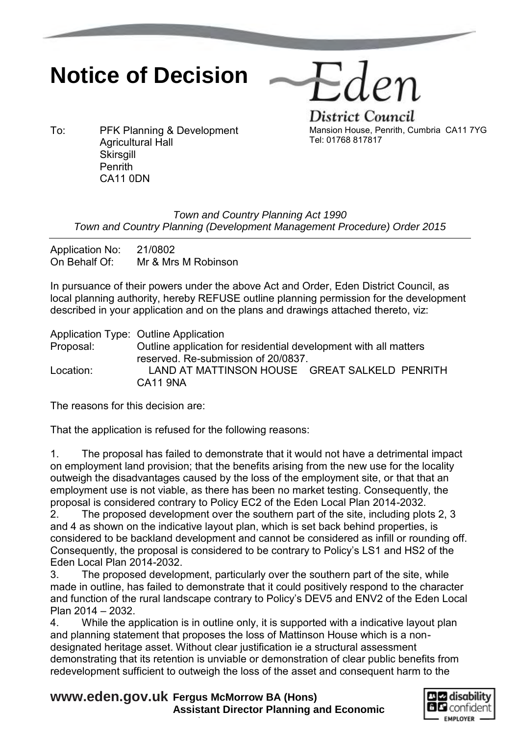## **Notice of Decision**

-den

To: PFK Planning & Development Agricultural Hall **Skirsgill Penrith** CA11 0DN

District Council Mansion House, Penrith, Cumbria CA11 7YG Tel: 01768 817817

## *Town and Country Planning Act 1990 Town and Country Planning (Development Management Procedure) Order 2015*

Application No: 21/0802 On Behalf Of: Mr & Mrs M Robinson

In pursuance of their powers under the above Act and Order, Eden District Council, as local planning authority, hereby REFUSE outline planning permission for the development described in your application and on the plans and drawings attached thereto, viz:

Application Type: Outline Application Proposal: Outline application for residential development with all matters reserved. Re-submission of 20/0837. Location: LAND AT MATTINSON HOUSE GREAT SALKELD PENRITH CA11 9NA

The reasons for this decision are:

That the application is refused for the following reasons:

1. The proposal has failed to demonstrate that it would not have a detrimental impact on employment land provision; that the benefits arising from the new use for the locality outweigh the disadvantages caused by the loss of the employment site, or that that an employment use is not viable, as there has been no market testing. Consequently, the proposal is considered contrary to Policy EC2 of the Eden Local Plan 2014-2032.

2. The proposed development over the southern part of the site, including plots 2, 3 and 4 as shown on the indicative layout plan, which is set back behind properties, is considered to be backland development and cannot be considered as infill or rounding off. Consequently, the proposal is considered to be contrary to Policy's LS1 and HS2 of the Eden Local Plan 2014-2032.

3. The proposed development, particularly over the southern part of the site, while made in outline, has failed to demonstrate that it could positively respond to the character and function of the rural landscape contrary to Policy's DEV5 and ENV2 of the Eden Local Plan 2014 – 2032.

4. While the application is in outline only, it is supported with a indicative layout plan and planning statement that proposes the loss of Mattinson House which is a nondesignated heritage asset. Without clear justification ie a structural assessment demonstrating that its retention is unviable or demonstration of clear public benefits from redevelopment sufficient to outweigh the loss of the asset and consequent harm to the

**www.eden.gov.uk Fergus McMorrow BA (Hons) Assistant Director Planning and Economic**